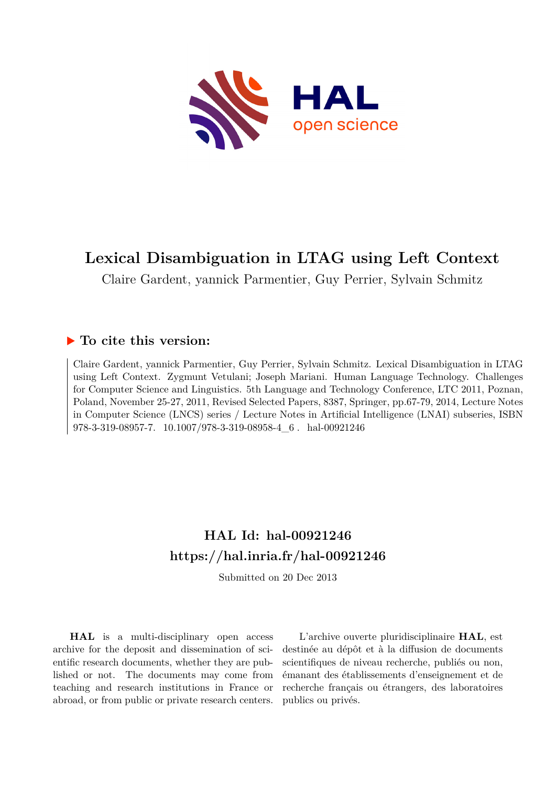

# **Lexical Disambiguation in LTAG using Left Context**

Claire Gardent, yannick Parmentier, Guy Perrier, Sylvain Schmitz

## **To cite this version:**

Claire Gardent, yannick Parmentier, Guy Perrier, Sylvain Schmitz. Lexical Disambiguation in LTAG using Left Context. Zygmunt Vetulani; Joseph Mariani. Human Language Technology. Challenges for Computer Science and Linguistics. 5th Language and Technology Conference, LTC 2011, Poznan, Poland, November 25-27, 2011, Revised Selected Papers, 8387, Springer, pp.67-79, 2014, Lecture Notes in Computer Science (LNCS) series / Lecture Notes in Artificial Intelligence (LNAI) subseries, ISBN 978-3-319-08957-7. 10.1007/978-3-319-08958-4 6. hal-00921246

# **HAL Id: hal-00921246 <https://hal.inria.fr/hal-00921246>**

Submitted on 20 Dec 2013

**HAL** is a multi-disciplinary open access archive for the deposit and dissemination of scientific research documents, whether they are published or not. The documents may come from teaching and research institutions in France or abroad, or from public or private research centers.

L'archive ouverte pluridisciplinaire **HAL**, est destinée au dépôt et à la diffusion de documents scientifiques de niveau recherche, publiés ou non, émanant des établissements d'enseignement et de recherche français ou étrangers, des laboratoires publics ou privés.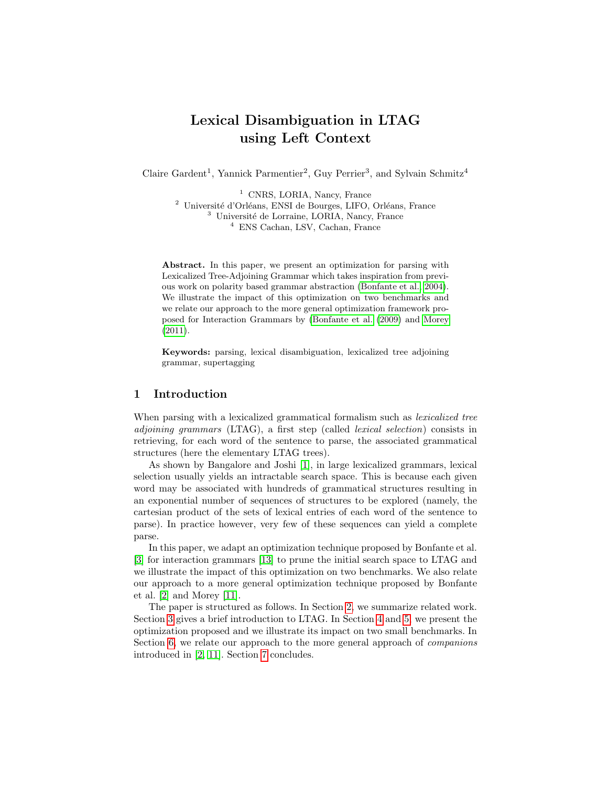## Lexical Disambiguation in LTAG using Left Context

Claire Gardent<sup>1</sup>, Yannick Parmentier<sup>2</sup>, Guy Perrier<sup>3</sup>, and Sylvain Schmitz<sup>4</sup>

<sup>1</sup> CNRS, LORIA, Nancy, France  $^2$ Université d'Orléans, ENSI de Bourges, LIFO, Orléans, France <sup>3</sup> Université de Lorraine, LORIA, Nancy, France <sup>4</sup> ENS Cachan, LSV, Cachan, France

Abstract. In this paper, we present an optimization for parsing with Lexicalized Tree-Adjoining Grammar which takes inspiration from previous work on polarity based grammar abstraction [\(Bonfante et al., 2004\)](#page-12-0). We illustrate the impact of this optimization on two benchmarks and we relate our approach to the more general optimization framework proposed for Interaction Grammars by [\(Bonfante et al. \(2009\)](#page-12-1) and [Morey](#page-12-2) [\(2011\)](#page-12-2).

Keywords: parsing, lexical disambiguation, lexicalized tree adjoining grammar, supertagging

## 1 Introduction

When parsing with a lexicalized grammatical formalism such as *lexicalized tree* adjoining grammars (LTAG), a first step (called lexical selection) consists in retrieving, for each word of the sentence to parse, the associated grammatical structures (here the elementary LTAG trees).

As shown by Bangalore and Joshi [\[1\]](#page-12-3), in large lexicalized grammars, lexical selection usually yields an intractable search space. This is because each given word may be associated with hundreds of grammatical structures resulting in an exponential number of sequences of structures to be explored (namely, the cartesian product of the sets of lexical entries of each word of the sentence to parse). In practice however, very few of these sequences can yield a complete parse.

In this paper, we adapt an optimization technique proposed by Bonfante et al. [\[3\]](#page-12-0) for interaction grammars [\[13\]](#page-12-4) to prune the initial search space to LTAG and we illustrate the impact of this optimization on two benchmarks. We also relate our approach to a more general optimization technique proposed by Bonfante et al. [\[2\]](#page-12-1) and Morey [\[11\]](#page-12-2).

The paper is structured as follows. In Section [2,](#page-2-0) we summarize related work. Section [3](#page-2-1) gives a brief introduction to LTAG. In Section [4](#page-3-0) and [5,](#page-7-0) we present the optimization proposed and we illustrate its impact on two small benchmarks. In Section [6,](#page-9-0) we relate our approach to the more general approach of *companions* introduced in [\[2,](#page-12-1) [11\]](#page-12-2). Section [7](#page-12-5) concludes.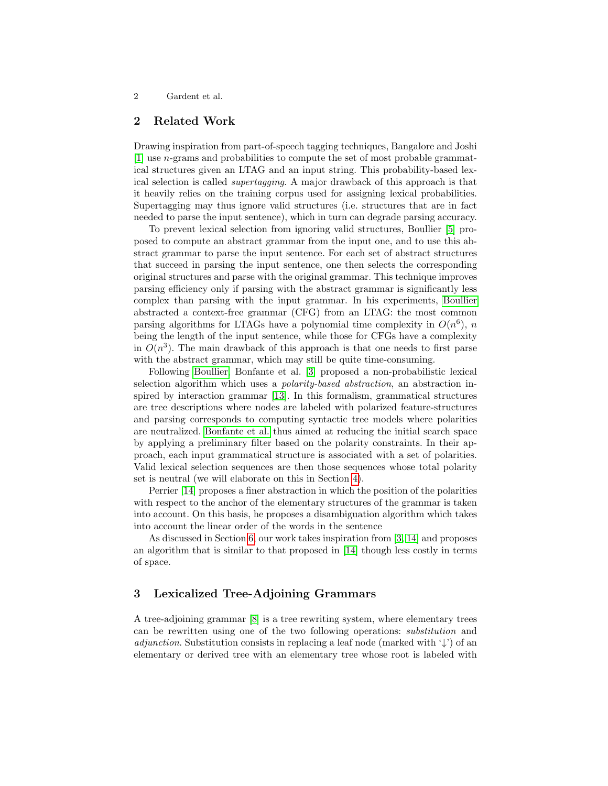## <span id="page-2-0"></span>2 Related Work

Drawing inspiration from part-of-speech tagging techniques, Bangalore and Joshi [\[1\]](#page-12-3) use n-grams and probabilities to compute the set of most probable grammatical structures given an LTAG and an input string. This probability-based lexical selection is called supertagging. A major drawback of this approach is that it heavily relies on the training corpus used for assigning lexical probabilities. Supertagging may thus ignore valid structures (i.e. structures that are in fact needed to parse the input sentence), which in turn can degrade parsing accuracy.

To prevent lexical selection from ignoring valid structures, Boullier [\[5\]](#page-12-6) proposed to compute an abstract grammar from the input one, and to use this abstract grammar to parse the input sentence. For each set of abstract structures that succeed in parsing the input sentence, one then selects the corresponding original structures and parse with the original grammar. This technique improves parsing efficiency only if parsing with the abstract grammar is significantly less complex than parsing with the input grammar. In his experiments, [Boullier](#page-12-6) abstracted a context-free grammar (CFG) from an LTAG: the most common parsing algorithms for LTAGs have a polynomial time complexity in  $O(n^6)$ , n being the length of the input sentence, while those for CFGs have a complexity in  $O(n^3)$ . The main drawback of this approach is that one needs to first parse with the abstract grammar, which may still be quite time-consuming.

Following [Boullier,](#page-12-6) Bonfante et al. [\[3\]](#page-12-0) proposed a non-probabilistic lexical selection algorithm which uses a polarity-based abstraction, an abstraction inspired by interaction grammar [\[13\]](#page-12-4). In this formalism, grammatical structures are tree descriptions where nodes are labeled with polarized feature-structures and parsing corresponds to computing syntactic tree models where polarities are neutralized. [Bonfante et al.](#page-12-0) thus aimed at reducing the initial search space by applying a preliminary filter based on the polarity constraints. In their approach, each input grammatical structure is associated with a set of polarities. Valid lexical selection sequences are then those sequences whose total polarity set is neutral (we will elaborate on this in Section [4\)](#page-3-0).

Perrier [\[14\]](#page-12-7) proposes a finer abstraction in which the position of the polarities with respect to the anchor of the elementary structures of the grammar is taken into account. On this basis, he proposes a disambiguation algorithm which takes into account the linear order of the words in the sentence

As discussed in Section [6,](#page-9-0) our work takes inspiration from [\[3,](#page-12-0) [14\]](#page-12-7) and proposes an algorithm that is similar to that proposed in [\[14\]](#page-12-7) though less costly in terms of space.

## <span id="page-2-1"></span>3 Lexicalized Tree-Adjoining Grammars

A tree-adjoining grammar [\[8\]](#page-12-8) is a tree rewriting system, where elementary trees can be rewritten using one of the two following operations: substitution and adjunction. Substitution consists in replacing a leaf node (marked with  $\downarrow$ ) of an elementary or derived tree with an elementary tree whose root is labeled with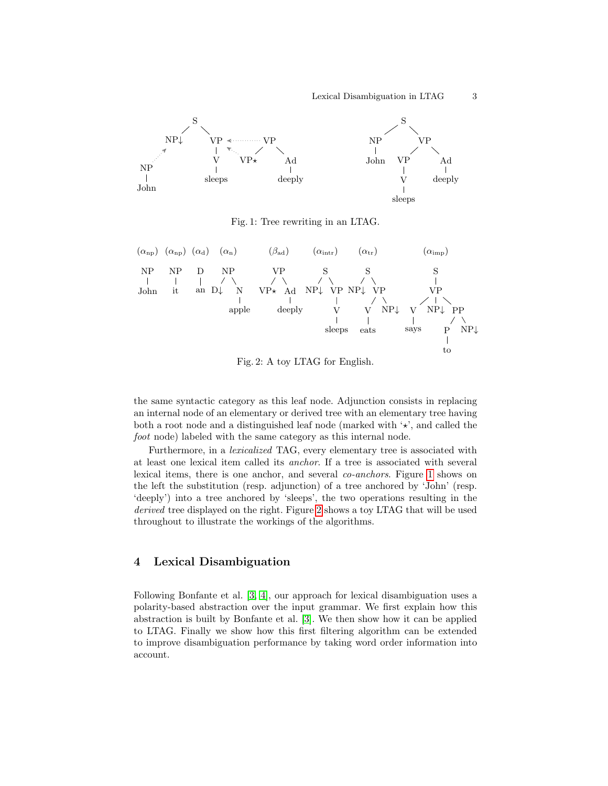<span id="page-3-1"></span>

Fig. 1: Tree rewriting in an LTAG.

<span id="page-3-2"></span>

Fig. 2: A toy LTAG for English.

the same syntactic category as this leaf node. Adjunction consists in replacing an internal node of an elementary or derived tree with an elementary tree having both a root node and a distinguished leaf node (marked with  $\forall \cdot$ , and called the foot node) labeled with the same category as this internal node.

Furthermore, in a lexicalized TAG, every elementary tree is associated with at least one lexical item called its anchor. If a tree is associated with several lexical items, there is one anchor, and several co-anchors. Figure [1](#page-3-1) shows on the left the substitution (resp. adjunction) of a tree anchored by 'John' (resp. 'deeply') into a tree anchored by 'sleeps', the two operations resulting in the derived tree displayed on the right. Figure [2](#page-3-2) shows a toy LTAG that will be used throughout to illustrate the workings of the algorithms.

## <span id="page-3-0"></span>4 Lexical Disambiguation

Following Bonfante et al. [\[3,](#page-12-0) [4\]](#page-12-9), our approach for lexical disambiguation uses a polarity-based abstraction over the input grammar. We first explain how this abstraction is built by Bonfante et al. [\[3\]](#page-12-0). We then show how it can be applied to LTAG. Finally we show how this first filtering algorithm can be extended to improve disambiguation performance by taking word order information into account.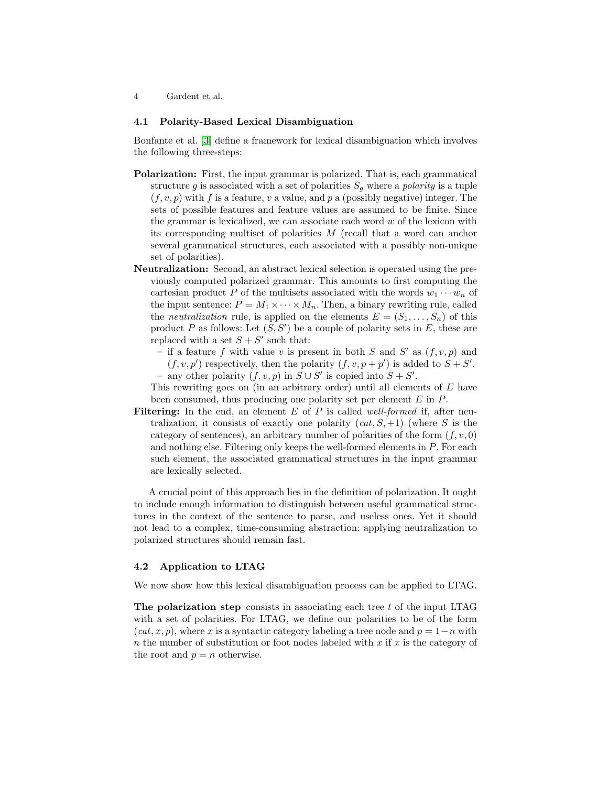#### <span id="page-4-0"></span>4.1 Polarity-Based Lexical Disambiguation

Bonfante et al. [\[3\]](#page-12-0) define a framework for lexical disambiguation which involves the following three-steps:

- Polarization: First, the input grammar is polarized. That is, each grammatical structure g is associated with a set of polarities  $S<sub>q</sub>$  where a polarity is a tuple  $(f, v, p)$  with f is a feature, v a value, and p a (possibly negative) integer. The sets of possible features and feature values are assumed to be finite. Since the grammar is lexicalized, we can associate each word  $w$  of the lexicon with its corresponding multiset of polarities M (recall that a word can anchor several grammatical structures, each associated with a possibly non-unique set of polarities).
- Neutralization: Second, an abstract lexical selection is operated using the previously computed polarized grammar. This amounts to first computing the cartesian product P of the multisets associated with the words  $w_1 \cdots w_n$  of the input sentence:  $P = M_1 \times \cdots \times M_n$ . Then, a binary rewriting rule, called the *neutralization* rule, is applied on the elements  $E = (S_1, \ldots, S_n)$  of this product P as follows: Let  $(S, S')$  be a couple of polarity sets in E, these are replaced with a set  $S + S'$  such that:
	- if a feature f with value v is present in both S and S' as  $(f, v, p)$  and  $(f, v, p')$  respectively, then the polarity  $(f, v, p + p')$  is added to  $S + S'$ . − any other polarity  $(f, v, p)$  in  $S \cup S'$  is copied into  $S + S'$ .

This rewriting goes on (in an arbitrary order) until all elements of E have been consumed, thus producing one polarity set per element E in P.

Filtering: In the end, an element  $E$  of  $P$  is called well-formed if, after neutralization, it consists of exactly one polarity  $(cat, S, +1)$  (where S is the category of sentences), an arbitrary number of polarities of the form  $(f, v, 0)$ and nothing else. Filtering only keeps the well-formed elements in  $P$ . For each such element, the associated grammatical structures in the input grammar are lexically selected.

A crucial point of this approach lies in the definition of polarization. It ought to include enough information to distinguish between useful grammatical structures in the context of the sentence to parse, and useless ones. Yet it should not lead to a complex, time-consuming abstraction: applying neutralization to polarized structures should remain fast.

#### <span id="page-4-1"></span>4.2 Application to LTAG

We now show how this lexical disambiguation process can be applied to LTAG.

The polarization step consists in associating each tree  $t$  of the input LTAG with a set of polarities. For LTAG, we define our polarities to be of the form  $(cat, x, p)$ , where x is a syntactic category labeling a tree node and  $p = 1 - n$  with n the number of substitution or foot nodes labeled with  $x$  if  $x$  is the category of the root and  $p = n$  otherwise.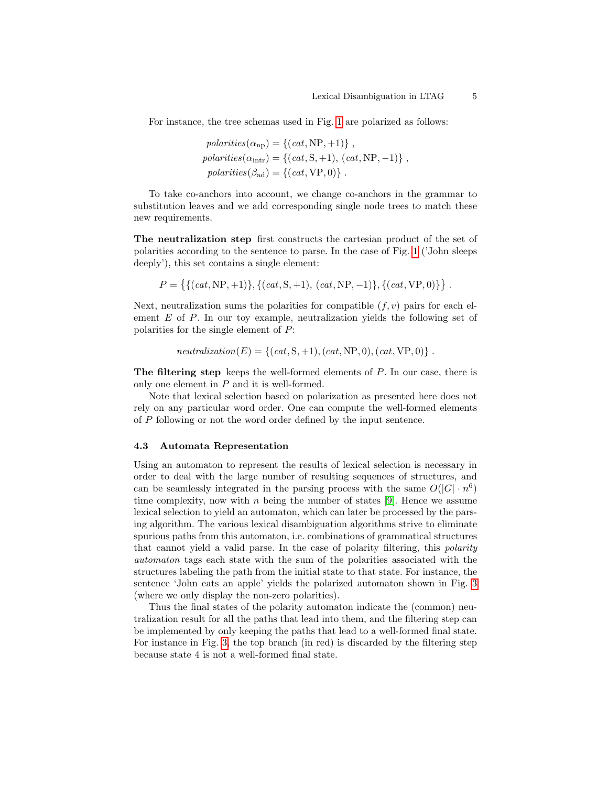For instance, the tree schemas used in Fig. [1](#page-3-1) are polarized as follows:

$$
polarities(\alpha_{\rm np}) = \{(cat, NP, +1)\},
$$
  
\n
$$
polarities(\alpha_{\rm intr}) = \{(cat, S, +1), (cat, NP, -1)\},
$$
  
\n
$$
polarities(\beta_{\rm ad}) = \{(cat, VP, 0)\}.
$$

To take co-anchors into account, we change co-anchors in the grammar to substitution leaves and we add corresponding single node trees to match these new requirements.

The neutralization step first constructs the cartesian product of the set of polarities according to the sentence to parse. In the case of Fig. [1](#page-3-1) ('John sleeps deeply'), this set contains a single element:

$$
P = \{ \{ (cat, NP, +1) \}, \{ (cat, S, +1), (cat, NP, -1) \}, \{ (cat, VP, 0) \} \}.
$$

Next, neutralization sums the polarities for compatible  $(f, v)$  pairs for each element E of P. In our toy example, neutralization yields the following set of polarities for the single element of P:

$$
neutralization(E) = \{(cat, S, +1), (cat, NP, 0), (cat, VP, 0)\}.
$$

The filtering step keeps the well-formed elements of P. In our case, there is only one element in  $P$  and it is well-formed.

Note that lexical selection based on polarization as presented here does not rely on any particular word order. One can compute the well-formed elements of P following or not the word order defined by the input sentence.

#### 4.3 Automata Representation

Using an automaton to represent the results of lexical selection is necessary in order to deal with the large number of resulting sequences of structures, and can be seamlessly integrated in the parsing process with the same  $O(|G| \cdot n^6)$ time complexity, now with n being the number of states [\[9\]](#page-12-10). Hence we assume lexical selection to yield an automaton, which can later be processed by the parsing algorithm. The various lexical disambiguation algorithms strive to eliminate spurious paths from this automaton, i.e. combinations of grammatical structures that cannot yield a valid parse. In the case of polarity filtering, this polarity automaton tags each state with the sum of the polarities associated with the structures labeling the path from the initial state to that state. For instance, the sentence 'John eats an apple' yields the polarized automaton shown in Fig. [3](#page-6-0) (where we only display the non-zero polarities).

Thus the final states of the polarity automaton indicate the (common) neutralization result for all the paths that lead into them, and the filtering step can be implemented by only keeping the paths that lead to a well-formed final state. For instance in Fig. [3,](#page-6-0) the top branch (in red) is discarded by the filtering step because state 4 is not a well-formed final state.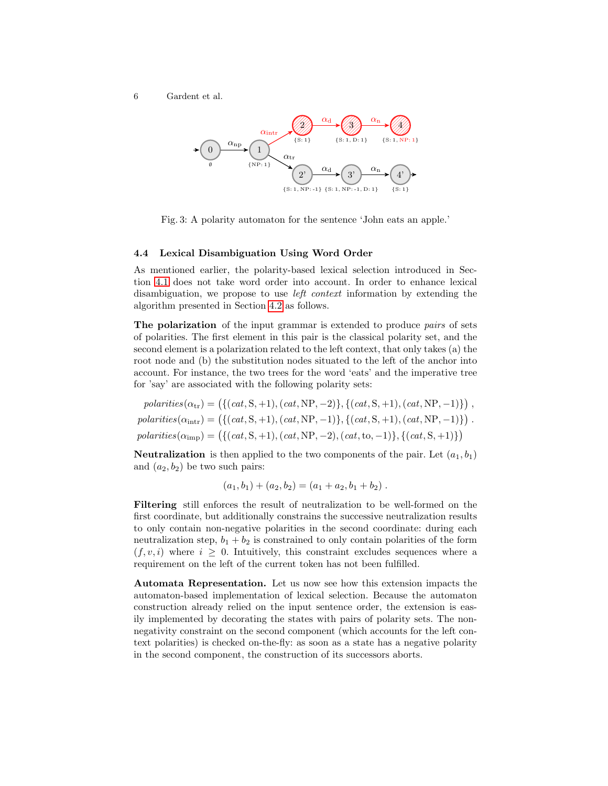<span id="page-6-0"></span>6 Gardent et al.



Fig. 3: A polarity automaton for the sentence 'John eats an apple.'

#### <span id="page-6-1"></span>4.4 Lexical Disambiguation Using Word Order

As mentioned earlier, the polarity-based lexical selection introduced in Section [4.1](#page-4-0) does not take word order into account. In order to enhance lexical disambiguation, we propose to use *left context* information by extending the algorithm presented in Section [4.2](#page-4-1) as follows.

The polarization of the input grammar is extended to produce *pairs* of sets of polarities. The first element in this pair is the classical polarity set, and the second element is a polarization related to the left context, that only takes (a) the root node and (b) the substitution nodes situated to the left of the anchor into account. For instance, the two trees for the word 'eats' and the imperative tree for 'say' are associated with the following polarity sets:

 $polarities(\alpha_{tr}) = (\{(cat, S, +1), (cat, NP, -2)\}, \{(cat, S, +1), (cat, NP, -1)\})$ ,  $polarities(\alpha_{\text{intr}}) = (\{(cat, S, +1), (cat, NP, -1)\}, \{(cat, S, +1), (cat, NP, -1)\})$ .  $polarities(\alpha_{\text{imp}}) = (\{(cat, S, +1), (cat, NP, -2), (cat, to, -1)\}, \{(cat, S, +1)\})$ 

**Neutralization** is then applied to the two components of the pair. Let  $(a_1, b_1)$ and  $(a_2, b_2)$  be two such pairs:

$$
(a_1, b_1) + (a_2, b_2) = (a_1 + a_2, b_1 + b_2).
$$

Filtering still enforces the result of neutralization to be well-formed on the first coordinate, but additionally constrains the successive neutralization results to only contain non-negative polarities in the second coordinate: during each neutralization step,  $b_1 + b_2$  is constrained to only contain polarities of the form  $(f, v, i)$  where  $i \geq 0$ . Intuitively, this constraint excludes sequences where a requirement on the left of the current token has not been fulfilled.

Automata Representation. Let us now see how this extension impacts the automaton-based implementation of lexical selection. Because the automaton construction already relied on the input sentence order, the extension is easily implemented by decorating the states with pairs of polarity sets. The nonnegativity constraint on the second component (which accounts for the left context polarities) is checked on-the-fly: as soon as a state has a negative polarity in the second component, the construction of its successors aborts.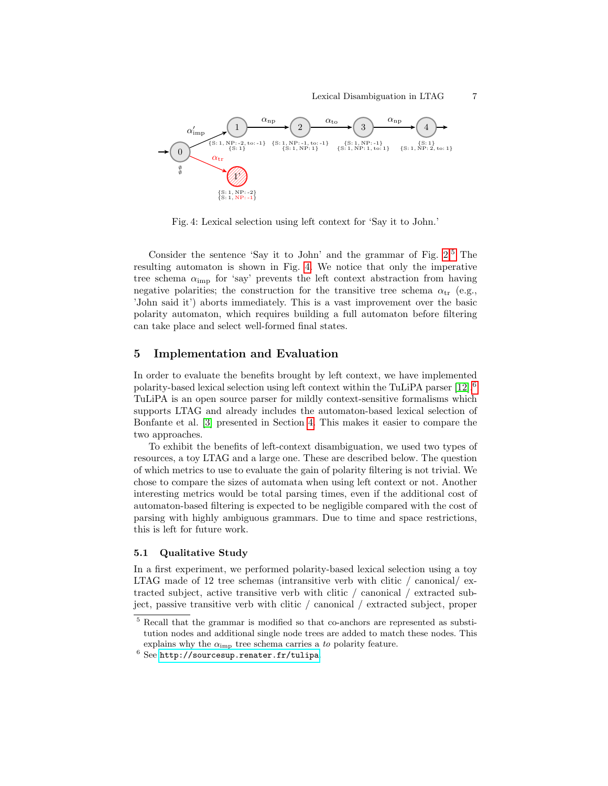<span id="page-7-2"></span>

Fig. 4: Lexical selection using left context for 'Say it to John.'

Consider the sentence 'Say it to John' and the grammar of Fig. [2.](#page-3-2)[5](#page-7-1) The resulting automaton is shown in Fig. [4.](#page-7-2) We notice that only the imperative tree schema  $\alpha_{\rm imp}$  for 'say' prevents the left context abstraction from having negative polarities; the construction for the transitive tree schema  $\alpha_{tr}$  (e.g., 'John said it') aborts immediately. This is a vast improvement over the basic polarity automaton, which requires building a full automaton before filtering can take place and select well-formed final states.

## <span id="page-7-0"></span>5 Implementation and Evaluation

In order to evaluate the benefits brought by left context, we have implemented polarity-based lexical selection using left context within the TuLiPA parser  $[12]$ .<sup>[6](#page-7-3)</sup> TuLiPA is an open source parser for mildly context-sensitive formalisms which supports LTAG and already includes the automaton-based lexical selection of Bonfante et al. [\[3\]](#page-12-0) presented in Section [4.](#page-3-0) This makes it easier to compare the two approaches.

To exhibit the benefits of left-context disambiguation, we used two types of resources, a toy LTAG and a large one. These are described below. The question of which metrics to use to evaluate the gain of polarity filtering is not trivial. We chose to compare the sizes of automata when using left context or not. Another interesting metrics would be total parsing times, even if the additional cost of automaton-based filtering is expected to be negligible compared with the cost of parsing with highly ambiguous grammars. Due to time and space restrictions, this is left for future work.

#### 5.1 Qualitative Study

In a first experiment, we performed polarity-based lexical selection using a toy LTAG made of 12 tree schemas (intransitive verb with clitic / canonical/ extracted subject, active transitive verb with clitic / canonical / extracted subject, passive transitive verb with clitic / canonical / extracted subject, proper

<span id="page-7-1"></span><sup>5</sup> Recall that the grammar is modified so that co-anchors are represented as substitution nodes and additional single node trees are added to match these nodes. This explains why the  $\alpha_{\rm imp}$  tree schema carries a to polarity feature.

<span id="page-7-3"></span> $6$  See <http://sourcesup.renater.fr/tulipa>.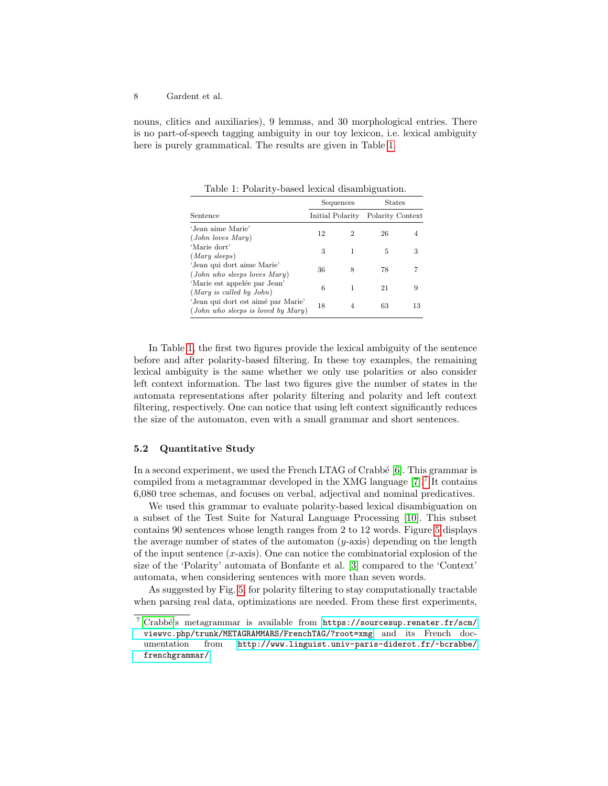<span id="page-8-0"></span>nouns, clitics and auxiliaries), 9 lemmas, and 30 morphological entries. There is no part-of-speech tagging ambiguity in our toy lexicon, i.e. lexical ambiguity here is purely grammatical. The results are given in Table [1.](#page-8-0)

| Sentence                                                                | Sequences        |   | <b>States</b>    |    |
|-------------------------------------------------------------------------|------------------|---|------------------|----|
|                                                                         | Initial Polarity |   | Polarity Context |    |
| 'Jean aime Marie'<br>$(John \, loves \, Mary)$                          | 12               | 2 | 26               |    |
| 'Marie dort'<br>$(Mary \, sleeps)$                                      | 3                |   | 5                | 3  |
| 'Jean qui dort aime Marie'<br>(John who sleeps loves Mary)              | 36               | 8 | 78               |    |
| 'Marie est appelée par Jean'<br>$(Mary\ is\ called\ by\ John)$          | 6                |   | 21               | 9  |
| 'Jean qui dort est aimé par Marie'<br>(John who keeps is loved by Mary) | 18               |   | 63               | 13 |

Table 1: Polarity-based lexical disambiguation.

In Table [1,](#page-8-0) the first two figures provide the lexical ambiguity of the sentence before and after polarity-based filtering. In these toy examples, the remaining lexical ambiguity is the same whether we only use polarities or also consider left context information. The last two figures give the number of states in the automata representations after polarity filtering and polarity and left context filtering, respectively. One can notice that using left context significantly reduces the size of the automaton, even with a small grammar and short sentences.

#### 5.2 Quantitative Study

In a second experiment, we used the French LTAG of Crabbé [\[6\]](#page-12-12). This grammar is compiled from a metagrammar developed in the XMG language [\[7\]](#page-12-13).<sup>[7](#page-8-1)</sup> It contains 6,080 tree schemas, and focuses on verbal, adjectival and nominal predicatives.

We used this grammar to evaluate polarity-based lexical disambiguation on a subset of the Test Suite for Natural Language Processing [\[10\]](#page-12-14). This subset contains 90 sentences whose length ranges from 2 to 12 words. Figure [5](#page-9-1) displays the average number of states of the automaton  $(y\text{-axis})$  depending on the length of the input sentence  $(x\text{-axis})$ . One can notice the combinatorial explosion of the size of the 'Polarity' automata of Bonfante et al. [\[3\]](#page-12-0) compared to the 'Context' automata, when considering sentences with more than seven words.

As suggested by Fig. [5,](#page-9-1) for polarity filtering to stay computationally tractable when parsing real data, optimizations are needed. From these first experiments,

<span id="page-8-1"></span> $7$  Crabbé's metagrammar is available from  $https://sourcesup.renater.fr/scm/$ [viewvc.php/trunk/METAGRAMMARS/FrenchTAG/?root=xmg](https://sourcesup.renater.fr/scm/viewvc.php/trunk/METAGRAMMARS/FrenchTAG/?root=xmg) and its French documentation from [http://www.linguist.univ-paris-diderot.fr/~bcrabbe/](http://www.linguist.univ-paris-diderot.fr/~bcrabbe/frenchgrammar/) [frenchgrammar/](http://www.linguist.univ-paris-diderot.fr/~bcrabbe/frenchgrammar/).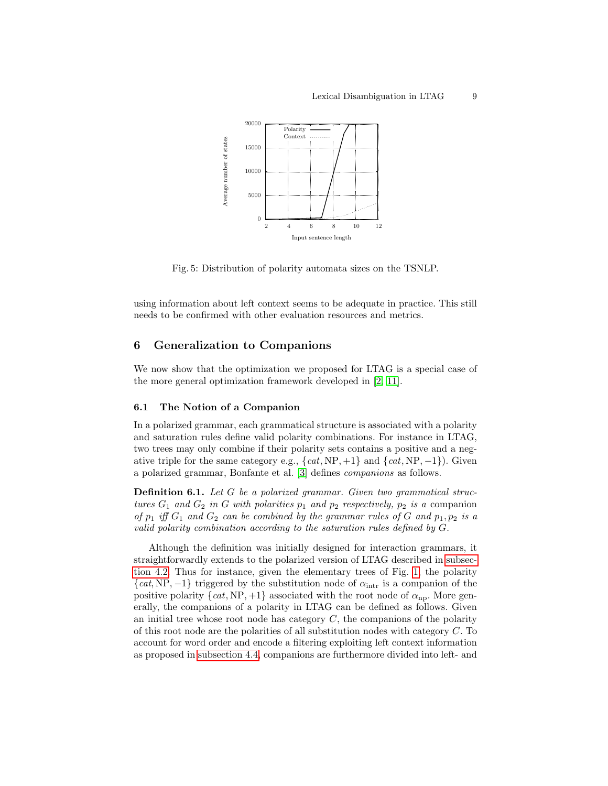<span id="page-9-1"></span>

Fig. 5: Distribution of polarity automata sizes on the TSNLP.

using information about left context seems to be adequate in practice. This still needs to be confirmed with other evaluation resources and metrics.

## <span id="page-9-0"></span>6 Generalization to Companions

We now show that the optimization we proposed for LTAG is a special case of the more general optimization framework developed in [\[2,](#page-12-1) [11\]](#page-12-2).

#### 6.1 The Notion of a Companion

In a polarized grammar, each grammatical structure is associated with a polarity and saturation rules define valid polarity combinations. For instance in LTAG, two trees may only combine if their polarity sets contains a positive and a negative triple for the same category e.g.,  $\{cat, NP, +1\}$  and  $\{cat, NP, -1\}$ ). Given a polarized grammar, Bonfante et al. [\[3\]](#page-12-0) defines companions as follows.

Definition 6.1. Let G be a polarized grammar. Given two grammatical structures  $G_1$  and  $G_2$  in G with polarities  $p_1$  and  $p_2$  respectively,  $p_2$  is a companion of  $p_1$  iff  $G_1$  and  $G_2$  can be combined by the grammar rules of G and  $p_1, p_2$  is a valid polarity combination according to the saturation rules defined by G.

Although the definition was initially designed for interaction grammars, it straightforwardly extends to the polarized version of LTAG described in [subsec](#page-4-1)[tion 4.2.](#page-4-1) Thus for instance, given the elementary trees of Fig. [1,](#page-3-1) the polarity  ${cat, NP, -1}$  triggered by the substitution node of  $\alpha_{\text{intr}}$  is a companion of the positive polarity  $\{cat, NP, +1\}$  associated with the root node of  $\alpha_{\rm np}$ . More generally, the companions of a polarity in LTAG can be defined as follows. Given an initial tree whose root node has category  $C$ , the companions of the polarity of this root node are the polarities of all substitution nodes with category  $C$ . To account for word order and encode a filtering exploiting left context information as proposed in [subsection 4.4,](#page-6-1) companions are furthermore divided into left- and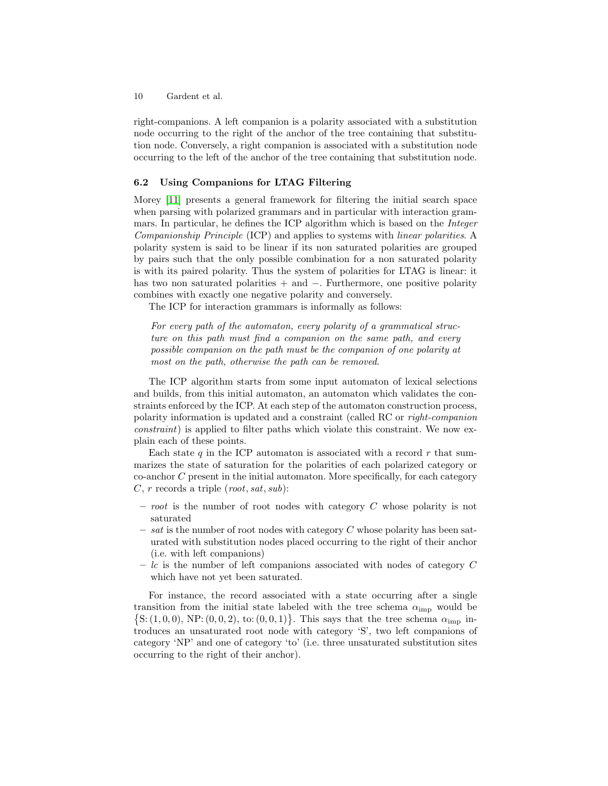right-companions. A left companion is a polarity associated with a substitution node occurring to the right of the anchor of the tree containing that substitution node. Conversely, a right companion is associated with a substitution node occurring to the left of the anchor of the tree containing that substitution node.

#### 6.2 Using Companions for LTAG Filtering

Morey [\[11\]](#page-12-2) presents a general framework for filtering the initial search space when parsing with polarized grammars and in particular with interaction grammars. In particular, he defines the ICP algorithm which is based on the Integer Companionship Principle (ICP) and applies to systems with linear polarities. A polarity system is said to be linear if its non saturated polarities are grouped by pairs such that the only possible combination for a non saturated polarity is with its paired polarity. Thus the system of polarities for LTAG is linear: it has two non saturated polarities + and −. Furthermore, one positive polarity combines with exactly one negative polarity and conversely.

The ICP for interaction grammars is informally as follows:

For every path of the automaton, every polarity of a grammatical structure on this path must find a companion on the same path, and every possible companion on the path must be the companion of one polarity at most on the path, otherwise the path can be removed.

The ICP algorithm starts from some input automaton of lexical selections and builds, from this initial automaton, an automaton which validates the constraints enforced by the ICP. At each step of the automaton construction process, polarity information is updated and a constraint (called RC or right-companion constraint) is applied to filter paths which violate this constraint. We now explain each of these points.

Each state q in the ICP automaton is associated with a record  $r$  that summarizes the state of saturation for the polarities of each polarized category or  $\alpha$ -anchor C present in the initial automaton. More specifically, for each category  $C, r$  records a triple  $(root, sat, sub)$ :

- $root$  is the number of root nodes with category C whose polarity is not saturated
- sat is the number of root nodes with category  $C$  whose polarity has been saturated with substitution nodes placed occurring to the right of their anchor (i.e. with left companions)
- $-lc$  is the number of left companions associated with nodes of category C which have not yet been saturated.

For instance, the record associated with a state occurring after a single transition from the initial state labeled with the tree schema  $\alpha_{\rm imp}$  would be  $\{S: (1,0,0), NP: (0,0,2), \text{ to: } (0,0,1)\}.$  This says that the tree schema  $\alpha_{\text{imp}}$  introduces an unsaturated root node with category 'S', two left companions of category 'NP' and one of category 'to' (i.e. three unsaturated substitution sites occurring to the right of their anchor).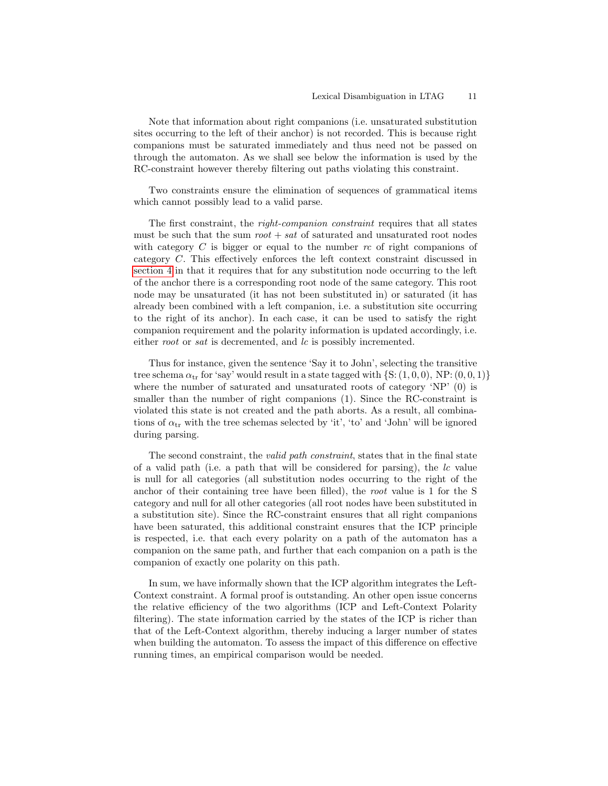Note that information about right companions (i.e. unsaturated substitution sites occurring to the left of their anchor) is not recorded. This is because right companions must be saturated immediately and thus need not be passed on through the automaton. As we shall see below the information is used by the RC-constraint however thereby filtering out paths violating this constraint.

Two constraints ensure the elimination of sequences of grammatical items which cannot possibly lead to a valid parse.

The first constraint, the right-companion constraint requires that all states must be such that the sum  $root + sat$  of saturated and unsaturated root nodes with category  $C$  is bigger or equal to the number  $rc$  of right companions of category C. This effectively enforces the left context constraint discussed in [section 4](#page-3-0) in that it requires that for any substitution node occurring to the left of the anchor there is a corresponding root node of the same category. This root node may be unsaturated (it has not been substituted in) or saturated (it has already been combined with a left companion, i.e. a substitution site occurring to the right of its anchor). In each case, it can be used to satisfy the right companion requirement and the polarity information is updated accordingly, i.e. either *root* or *sat* is decremented, and *lc* is possibly incremented.

Thus for instance, given the sentence 'Say it to John', selecting the transitive tree schema  $\alpha_{tr}$  for 'say' would result in a state tagged with  $\{S: (1, 0, 0), NP: (0, 0, 1)\}\$ where the number of saturated and unsaturated roots of category 'NP' (0) is smaller than the number of right companions (1). Since the RC-constraint is violated this state is not created and the path aborts. As a result, all combinations of  $\alpha_{tr}$  with the tree schemas selected by 'it', 'to' and 'John' will be ignored during parsing.

The second constraint, the *valid path constraint*, states that in the final state of a valid path (i.e. a path that will be considered for parsing), the  $lc$  value is null for all categories (all substitution nodes occurring to the right of the anchor of their containing tree have been filled), the root value is 1 for the S category and null for all other categories (all root nodes have been substituted in a substitution site). Since the RC-constraint ensures that all right companions have been saturated, this additional constraint ensures that the ICP principle is respected, i.e. that each every polarity on a path of the automaton has a companion on the same path, and further that each companion on a path is the companion of exactly one polarity on this path.

In sum, we have informally shown that the ICP algorithm integrates the Left-Context constraint. A formal proof is outstanding. An other open issue concerns the relative efficiency of the two algorithms (ICP and Left-Context Polarity filtering). The state information carried by the states of the ICP is richer than that of the Left-Context algorithm, thereby inducing a larger number of states when building the automaton. To assess the impact of this difference on effective running times, an empirical comparison would be needed.